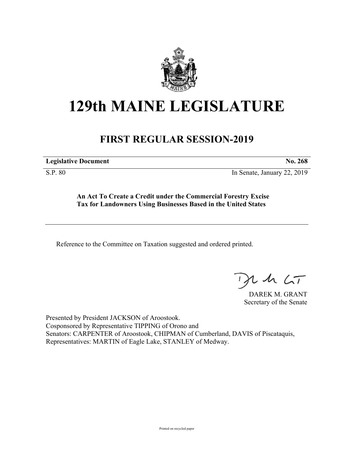

## **129th MAINE LEGISLATURE**

## **FIRST REGULAR SESSION-2019**

**Legislative Document No. 268**

S.P. 80 In Senate, January 22, 2019

**An Act To Create a Credit under the Commercial Forestry Excise Tax for Landowners Using Businesses Based in the United States**

Reference to the Committee on Taxation suggested and ordered printed.

 $125$ 

DAREK M. GRANT Secretary of the Senate

Presented by President JACKSON of Aroostook. Cosponsored by Representative TIPPING of Orono and Senators: CARPENTER of Aroostook, CHIPMAN of Cumberland, DAVIS of Piscataquis, Representatives: MARTIN of Eagle Lake, STANLEY of Medway.